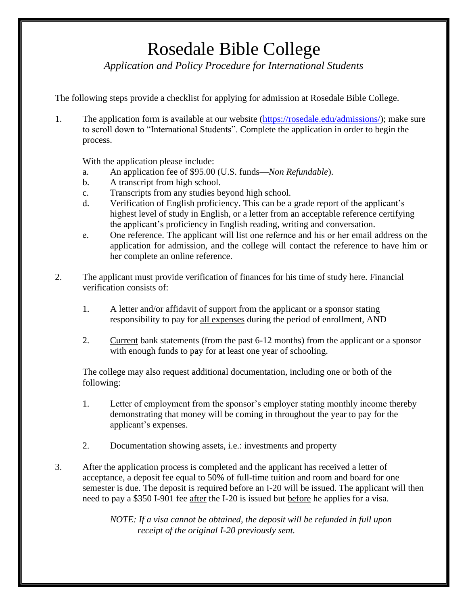## Rosedale Bible College

*Application and Policy Procedure for International Students*

The following steps provide a checklist for applying for admission at Rosedale Bible College.

1. The application form is available at our website [\(https://rosedale.edu/admissions/\)](https://rosedale.edu/admissions/); make sure to scroll down to "International Students". Complete the application in order to begin the process.

With the application please include:

- a. An application fee of \$95.00 (U.S. funds—*Non Refundable*).
- b. A transcript from high school.
- c. Transcripts from any studies beyond high school.
- d. Verification of English proficiency. This can be a grade report of the applicant's highest level of study in English, or a letter from an acceptable reference certifying the applicant's proficiency in English reading, writing and conversation.
- e. One reference. The applicant will list one refernce and his or her email address on the application for admission, and the college will contact the reference to have him or her complete an online reference.
- 2. The applicant must provide verification of finances for his time of study here. Financial verification consists of:
	- 1. A letter and/or affidavit of support from the applicant or a sponsor stating responsibility to pay for all expenses during the period of enrollment, AND
	- 2. Current bank statements (from the past 6-12 months) from the applicant or a sponsor with enough funds to pay for at least one year of schooling.

The college may also request additional documentation, including one or both of the following:

- 1. Letter of employment from the sponsor's employer stating monthly income thereby demonstrating that money will be coming in throughout the year to pay for the applicant's expenses.
- 2. Documentation showing assets, i.e.: investments and property
- 3. After the application process is completed and the applicant has received a letter of acceptance, a deposit fee equal to 50% of full-time tuition and room and board for one semester is due. The deposit is required before an I-20 will be issued. The applicant will then need to pay a \$350 I-901 fee after the I-20 is issued but before he applies for a visa.

*NOTE: If a visa cannot be obtained, the deposit will be refunded in full upon receipt of the original I-20 previously sent.*